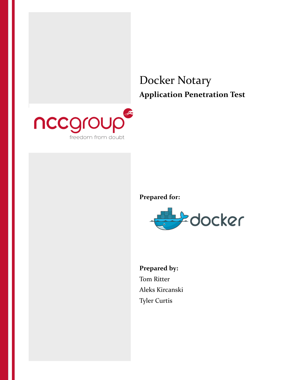

# **Prepared for:**



**Prepared by:** Tom Ritter Aleks Kircanski Tyler Curtis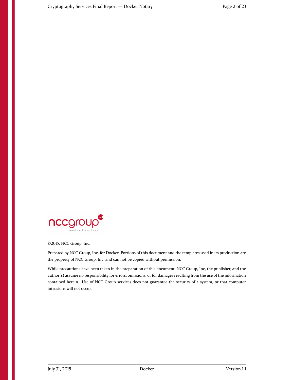

©2015, NCC Group, Inc.

Prepared by NCC Group, Inc. for Docker. Portions of this document and the templates used in its production are the property of NCC Group, Inc. and can not be copied without permission.

While precautions have been taken in the preparation of this document, NCC Group, Inc, the publisher, and the author(s) assume no responsibility for errors, omissions, or for damages resulting from the use of the information contained herein. Use of NCC Group services does not guarantee the security of a system, or that computer intrusions will not occur.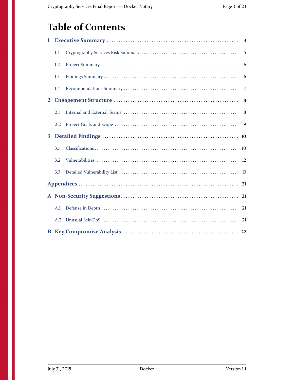# **Table of Contents**

| 1            |     | $\overline{\mathbf{4}}$ |
|--------------|-----|-------------------------|
|              | 1.1 | 5                       |
|              | 1.2 | 6                       |
|              | 1.3 | 6                       |
|              | 1.4 | 7                       |
| $\mathbf{2}$ |     | 8                       |
|              | 2.1 | 8                       |
|              | 2.2 | 9                       |
| 3            |     | 10                      |
|              | 3.1 | 10                      |
|              | 3.2 | 12                      |
|              | 3.3 | 13                      |
|              |     | 21                      |
|              |     | 21                      |
|              | A.1 | 21                      |
|              | A.2 | 21                      |
|              |     |                         |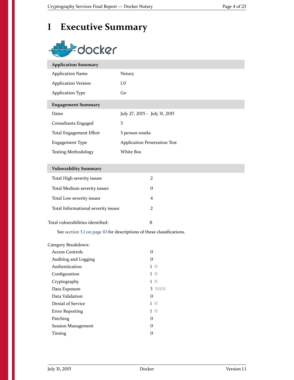# <span id="page-3-0"></span>**1 Executive Summary**

# docker

| <b>Application Summary</b> |                                     |
|----------------------------|-------------------------------------|
| <b>Application Name</b>    | Notary                              |
| <b>Application Version</b> | 1.0                                 |
| <b>Application Type</b>    | Go                                  |
| <b>Engagement Summary</b>  |                                     |
| Dates                      | July 27, 2015 - July 31, 2015       |
| Consultants Engaged        | 3                                   |
| Total Engagement Effort    | 3 person-weeks                      |
| Engagement Type            | <b>Application Penetration Test</b> |
| <b>Testing Methodology</b> | White Box                           |
|                            |                                     |
|                            |                                     |

#### **Vulnerability Summary**

| Total High severity issues          |  |
|-------------------------------------|--|
| Total Medium severity issues        |  |
| Total Low severity issues           |  |
| Total Informational severity issues |  |
| Total vulnerabilities identified:   |  |

See [section 3.1 on page 10](#page-9-1) for descriptions of these classifications.

| Category Breakdown:  |   |
|----------------------|---|
| Access Controls      | O |
| Auditing and Logging | 0 |
| Authentication       |   |
| Configuration        |   |
| Cryptography         |   |
| Data Exposure        | З |
| Data Validation      | 0 |
| Denial of Service    |   |
| Error Reporting      |   |
| Patching             | 0 |
| Session Management   | 0 |
| Timing               |   |
|                      |   |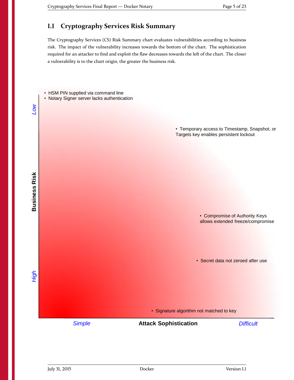## <span id="page-4-0"></span>**1.1 Cryptography Services Risk Summary**

The Cryptography Services (CS) Risk Summary chart evaluates vulnerabilities according to business risk. The impact of the vulnerability increases towards the bottom of the chart. The sophistication required for an attacker to find and exploit the flaw decreases towards the left of the chart. The closer a vulnerability is to the chart origin, the greater the business risk.

- HSM PIN supplied via command line
- Notary Signer server lacks authentication

• Temporary access to Timestamp, Snapshot, or Targets key enables persistent lockout

> • Compromise of Authority Keys allows extended freeze/compromise

• Secret data not zeroed after use

• Signature algorithm not matched to key

**Attack Sophistication** *Simple Difficult*

**Business Risk** *Low* **Business Risk** 

*High*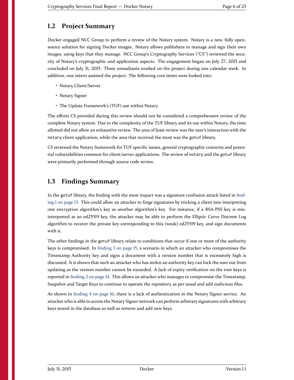#### <span id="page-5-0"></span>**1.2 Project Summary**

Docker engaged NCC Group to perform a review of the Notary system. Notary is a new, fully opensource solution for signing Docker images. Notary allows publishers to manage and sign their own images, using keys that they manage. NCC Group's Cryptography Services ("CS") reviewed the security of Notary's cryptographic and application aspects. The engagement began on July 27, 2015 and concluded on July 31, 2015. Three consultants worked on the project during one calendar week. In addition, one intern assisted the project. The following core items were looked into:

- Notary Client/Server
- Notary Signer
- The Update Framework's (TUF) use within Notary

The efforts CS provided during this review should not be considered a comprehensive review of the complete Notary system. Due to the complexity of the TUF library and its use within Notary, the time allotted did not allow an exhaustive review. The area of least review was the user's interaction with the notary client application, while the area that received the most was the gotuf library.

CS reviewed the Notary framework for TUF specific issues, general cryptographic concerns and potential vulnerabilities common for client/server applications. The review of notary and the gotuf library were primarily performed through source code review.

#### <span id="page-5-1"></span>**1.3 Findings Summary**

In the gotuf library, the finding with the most impact was a signature confusion attack listed in [find](#page-12-1)[ing 1 on page 13.](#page-12-1) This could allow an attacker to forge signatures by tricking a client into interpreting one encryption algorithm's key as another algorithm's key. For instance, if a RSA-PSS key is misinterpreted as an ed25519 key, the attacker may be able to perform the Elliptic Curve Discrete Log algorithm to recover the private key corresponding to this (weak) ed25519 key, and sign documents with it.

The other findings in the gotuf library relate to conditions that occur if one or more of the authority keys is compromised. In [finding 3 on page 15,](#page-14-0) a scenario in which an attacker who compromises the Timestamp Authority key and signs a document with a version number that is excessively high is discussed. It is shown that such an attacker who has stolen an authority key can lock the user out from updating as the version number cannot be exceeded. A lack of expiry verification on the root keys is reported in [finding 2 on page 14.](#page-13-0) This allows an attacker who manages to compromise the Timestamp, Snapshot and Target Keys to continue to operate the repository as per usual and add malicious files.

As shown in [finding 4 on page 16,](#page-15-0) there is a lack of authentication in the Notary Signer service. An attacker who is able to access the Notary Signer network can perform arbitrary signatures with arbitrary keys stored in the database as well as remove and add new keys.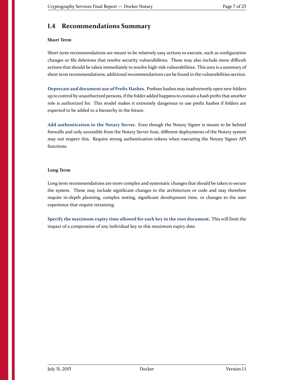## <span id="page-6-0"></span>**1.4 Recommendations Summary**

#### **Short Term**

Short term recommendations are meant to be relatively easy actions to execute, such as configuration changes or file deletions that resolve security vulnerabilities. These may also include more difficult actions that should be taken immediately to resolve high-risk vulnerabilities. This area is a summary of short term recommendations; additional recommendations can be found in the vulnerabilities section.

**Deprecate and document use of Prefix Hashes.** [Prefixes hashes may inadvertently open new folders](#page-6-1) [up to control by unauthorized persons, if the folder added happens to contain a hash prefix that another](#page-6-1) [role is authorized for. This model makes it extremely dangerous to use prefix hashes if folders are](#page-6-1) [expected to be added to a hierarchy in the future.](#page-6-1)

**Add authentication to the Notary Server.** [Even though the Notary Signer is meant to be behind](#page-6-1) [firewalls and only accessible from the Notary Server host, different deployments of the Notary system](#page-6-1) [may not respect this. Require strong authentication tokens when executing the Notary Signer API](#page-6-1) [functions.](#page-6-1)

#### <span id="page-6-1"></span>**Long Term**

Long term recommendations are more complex and systematic changes that should be taken to secure the system. These may include significant changes to the architecture or code and may therefore require in-depth planning, complex testing, significant development time, or changes to the user experience that require retraining.

<span id="page-6-2"></span>**[Specify the maximum expiry time allowed for each key in the root document.](#page-6-2)** This will limit the [impact of a compromise of any individual key to this maximum expiry date.](#page-6-2)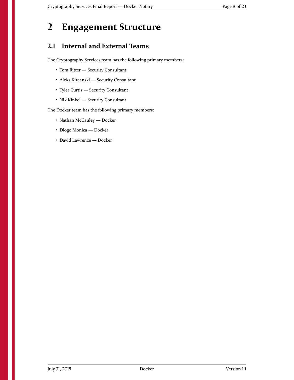## <span id="page-7-0"></span>**2 Engagement Structure**

### <span id="page-7-1"></span>**2.1 Internal and External Teams**

The Cryptography Services team has the following primary members:

- Tom Ritter Security Consultant
- Aleks Kircanski Security Consultant
- Tyler Curtis Security Consultant
- Nik Kinkel Security Consultant

The Docker team has the following primary members:

- Nathan McCauley Docker
- Diogo Mónica Docker
- David Lawrence Docker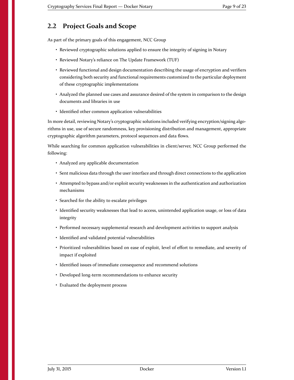#### <span id="page-8-0"></span>**2.2 Project Goals and Scope**

As part of the primary goals of this engagement, NCC Group

- Reviewed cryptographic solutions applied to ensure the integrity of signing in Notary
- Reviewed Notary's reliance on The Update Framework (TUF)
- Reviewed functional and design documentation describing the usage of encryption and verifiers considering both security and functional requirements customized to the particular deployment of these cryptographic implementations
- Analyzed the planned use cases and assurance desired of the system in comparison to the design documents and libraries in use
- Identified other common application vulnerabilities

In more detail, reviewing Notary's cryptographic solutions included verifying encryption/signing algorithms in use, use of secure randomness, key provisioning distribution and management, appropriate cryptographic algorithm parameters, protocol sequences and data flows.

While searching for common application vulnerabilities in client/server, NCC Group performed the following:

- Analyzed any applicable documentation
- Sent malicious data through the user interface and through direct connections to the application
- Attempted to bypass and/or exploit security weaknesses in the authentication and authorization mechanisms
- Searched for the ability to escalate privileges
- Identified security weaknesses that lead to access, unintended application usage, or loss of data integrity
- Performed necessary supplemental research and development activities to support analysis
- Identified and validated potential vulnerabilities
- Prioritized vulnerabilities based on ease of exploit, level of effort to remediate, and severity of impact if exploited
- Identified issues of immediate consequence and recommend solutions
- Developed long-term recommendations to enhance security
- Evaluated the deployment process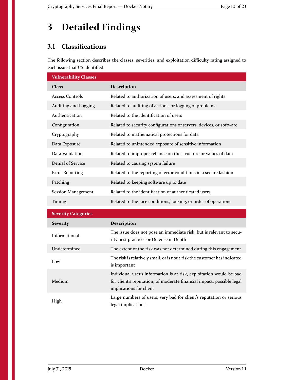## <span id="page-9-0"></span>**3 Detailed Findings**

## <span id="page-9-1"></span>**3.1 Classifications**

The following section describes the classes, severities, and exploitation difficulty rating assigned to each issue that CS identified.

| <b>Vulnerability Classes</b> |                                                                                                                                                                         |
|------------------------------|-------------------------------------------------------------------------------------------------------------------------------------------------------------------------|
| Class                        | Description                                                                                                                                                             |
| <b>Access Controls</b>       | Related to authorization of users, and assessment of rights                                                                                                             |
| Auditing and Logging         | Related to auditing of actions, or logging of problems                                                                                                                  |
| Authentication               | Related to the identification of users                                                                                                                                  |
| Configuration                | Related to security configurations of servers, devices, or software                                                                                                     |
| Cryptography                 | Related to mathematical protections for data                                                                                                                            |
| Data Exposure                | Related to unintended exposure of sensitive information                                                                                                                 |
| Data Validation              | Related to improper reliance on the structure or values of data                                                                                                         |
| Denial of Service            | Related to causing system failure                                                                                                                                       |
| <b>Error Reporting</b>       | Related to the reporting of error conditions in a secure fashion                                                                                                        |
| Patching                     | Related to keeping software up to date                                                                                                                                  |
| <b>Session Management</b>    | Related to the identification of authenticated users                                                                                                                    |
| Timing                       | Related to the race conditions, locking, or order of operations                                                                                                         |
| <b>Severity Categories</b>   |                                                                                                                                                                         |
| <b>Severity</b>              | Description                                                                                                                                                             |
| Informational                | The issue does not pose an immediate risk, but is relevant to secu-<br>rity best practices or Defense in Depth                                                          |
| Undetermined                 | The extent of the risk was not determined during this engagement                                                                                                        |
| Low                          | The risk is relatively small, or is not a risk the customer has indicated<br>is important                                                                               |
| Medium                       | Individual user's information is at risk, exploitation would be bad<br>for client's reputation, of moderate financial impact, possible legal<br>implications for client |
| High                         | Large numbers of users, very bad for client's reputation or serious<br>legal implications.                                                                              |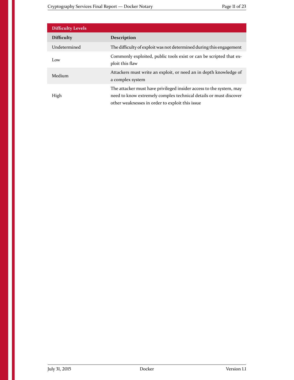| <b>Difficulty Levels</b> |                                                                                                                                                                                             |
|--------------------------|---------------------------------------------------------------------------------------------------------------------------------------------------------------------------------------------|
| <b>Difficulty</b>        | <b>Description</b>                                                                                                                                                                          |
| Undetermined             | The difficulty of exploit was not determined during this engagement                                                                                                                         |
| Low                      | Commonly exploited, public tools exist or can be scripted that ex-<br>ploit this flaw                                                                                                       |
| Medium                   | Attackers must write an exploit, or need an in depth knowledge of<br>a complex system                                                                                                       |
| High                     | The attacker must have privileged insider access to the system, may<br>need to know extremely complex technical details or must discover<br>other weaknesses in order to exploit this issue |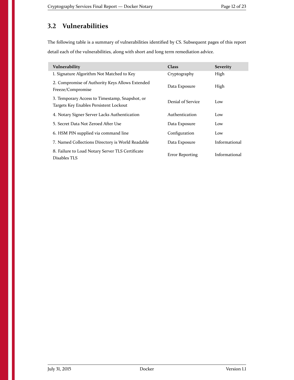## <span id="page-11-0"></span>**3.2 Vulnerabilities**

The following table is a summary of vulnerabilities identified by CS. Subsequent pages of this report detail each of the vulnerabilities, along with short and long term remediation advice.

| Vulnerability                                                                            | <b>Class</b>      | <b>Severity</b> |
|------------------------------------------------------------------------------------------|-------------------|-----------------|
| 1. Signature Algorithm Not Matched to Key                                                | Cryptography      | High            |
| 2. Compromise of Authority Keys Allows Extended<br>Freeze/Compromise                     | Data Exposure     | High            |
| 3. Temporary Access to Timestamp, Snapshot, or<br>Targets Key Enables Persistent Lockout | Denial of Service | Low             |
| 4. Notary Signer Server Lacks Authentication                                             | Authentication    | Low             |
| 5. Secret Data Not Zeroed After Use                                                      | Data Exposure     | Low             |
| 6. HSM PIN supplied via command line                                                     | Configuration     | Low             |
| 7. Named Collections Directory is World Readable                                         | Data Exposure     | Informational   |
| 8. Failure to Load Notary Server TLS Certificate<br>Disables TLS                         | Error Reporting   | Informational   |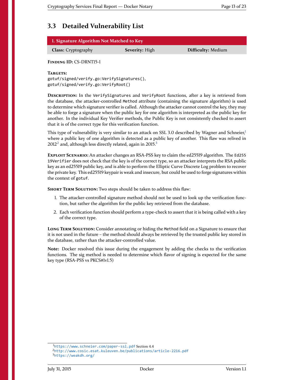## <span id="page-12-0"></span>**3.3 Detailed Vulnerability List**

| <b>1. Signature Algorithm Not Matched to Key</b> |  |
|--------------------------------------------------|--|
|                                                  |  |

**Class:** Cryptography **Severity:** High **Difficulty:** Medium

<span id="page-12-1"></span>**FINDING ID:** CS-DRNT15-1

**TARGETS:**

gotuf/signed/verify.go:VerifySignatures(), gotuf/signed/verify.go:VerifyRoot()

**DESCRIPTION:** In the VerifySignatures and VerifyRoot functions, after a key is retrieved from the database, the attacker-controlled Method attribute (containing the signature algorithm) is used to determine which signature verifier is called. Although the attacker cannot control the key, they may be able to forge a signature when the public key for one algorithm is interpreted as the public key for another. In the individual Key Verifier methods, the Public Key is not consistently checked to assert that it is of the correct type for this verification function.

This type of vulnerability is very similar to an attack on SSL 3.0 described by Wagner and Schneier,<sup>[1](#page-12-2)</sup> where a public key of one algorithm is detected as a public key of another. This flaw was relived in  $2012<sup>2</sup>$  $2012<sup>2</sup>$  and, although less directly related, again in  $2015<sup>3</sup>$  $2015<sup>3</sup>$  $2015<sup>3</sup>$ 

**EXPLOIT SCENARIO:** An attacker changes an RSA-PSS key to claim the ed25519 algorithm. The Ed255 19Verifier does not check that the key is of the correct type, so an attacker interprets the RSA public key as an ed25519 public key, and is able to perform the Elliptic Curve Discrete Log problem to recover the private key. This ed25519 keypair is weak and insecure, but could be used to forge signatures within the context of gotuf.

**SHORT TERM SOLUTION:** Two steps should be taken to address this flaw:

- 1. The attacker-controlled signature method should not be used to look up the verification function, but rather the algorithm for the public key retrieved from the database.
- 2. Each verification function should perform a type-check to assert that it is being called with a key of the correct type.

**LONG TERM SOLUTION:** Consider annotating or hiding the Method field on a Signature to ensure that it is not used in the future – the method should always be retrieved by the trusted public key stored in the database, rather than the attacker-controlled value.

**Note:** Docker resolved this issue during the engagement by adding the checks to the verification functions. The sig method is needed to determine which flavor of signing is expected for the same key type (RSA-PSS vs PKCS#1v1.5)

<span id="page-12-2"></span><sup>1</sup><https://www.schneier.com/paper-ssl.pdf> Section 4.4

<span id="page-12-4"></span><span id="page-12-3"></span><sup>2</sup><http://www.cosic.esat.kuleuven.be/publications/article-2216.pdf> <sup>3</sup><https://weakdh.org/>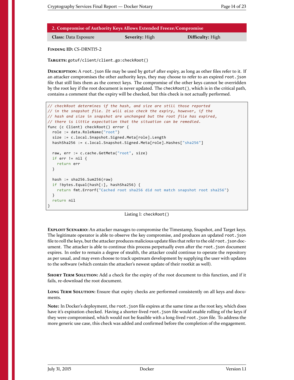| 2. Compromise of Authority Keys Allows Extended Freeze/Compromise |                       |                         |
|-------------------------------------------------------------------|-----------------------|-------------------------|
| <b>Class: Data Exposure</b>                                       | <b>Severity:</b> High | <b>Difficulty:</b> High |

<span id="page-13-0"></span>**FINDING ID:** CS-DRNT15-2

**TARGETS:** gotuf/client/client.go:checkRoot()

**DESCRIPTION:** A root.json file may be used by gotuf after expiry, as long as other files refer to it. If an attacker compromises the other authority keys, they may choose to refer to an expired root.json file that still lists them as the correct keys. The compromise of the other keys cannot be overridden by the root key if the root document is never updated. The checkRoot(), which is in the critical path, contains a comment that the expiry will be checked, but this check is not actually performed.

```
// checkRoot determines if the hash, and size are still those reported
// in the snapshot file. It will also check the expiry, however, if the
// hash and size in snapshot are unchanged but the root file has expired,
// there is little expectation that the situation can be remedied.
func (c Client) checkRoot() error {
  role := data.RoleName("root")
  size := c.local.Snapshot.Signed.Meta[role].Length
  hashSha256 := c.local.Snapshot.Signed.Meta[role].Hashes["sha256"]
  raw, err := c.cache.GetMeta("root", size)
  if err != nil {
    return err
  }
  hash := sha256.Sum256(raw)
  if !bytes.Equal(hash[:], hashSha256) {
    return fmt.Errorf("Cached root sha256 did not match snapshot root sha256")
  }
  return nil
}
```
#### Listing 1: checkRoot()

**EXPLOIT SCENARIO:** An attacker manages to compromise the Timestamp, Snapshot, and Target keys. The legitimate operator is able to observe the key compromise, and produces an updated root.json file to roll the keys, but the attacker produces malicious update files that refer to the old root. json document. The attacker is able to continue this process perpetually even after the root.json document expires. In order to remain a degree of stealth, the attacker could continue to operate the repository as per usual, and may even choose to track upstream development by supplying the user with updates to the software (which contain the attacker's newest update of their rootkit as well).

**SHORT TERM SOLUTION:** Add a check for the expiry of the root document to this function, and if it fails, re-download the root document.

**LONG TERM SOLUTION:** Ensure that expiry checks are performed consistently on all keys and documents.

**Note:** In Docker's deployment, the root.json file expires at the same time as the root key, which does have it's expiration checked. Having a shorter-lived root.json file would enable rolling of the keys if they were compromised, which would not be feasible with a long-lived root.json file. To address the more generic use case, this check was added and confirmed before the completion of the engagement.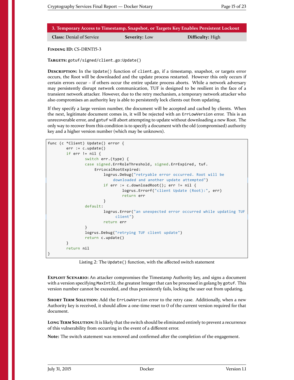|                                 |                      | 3. Temporary Access to Timestamp, Snapshot, or Targets Key Enables Persistent Lockout |
|---------------------------------|----------------------|---------------------------------------------------------------------------------------|
| <b>Class:</b> Denial of Service | <b>Severity:</b> Low | <b>Difficulty:</b> High                                                               |

<span id="page-14-0"></span>**FINDING ID:** CS-DRNT15-3

**TARGETS:** gotuf/signed/client.go:Update()

**DESCRIPTION:** In the Update() function of client.go, if a timestamp, snapshot, or targets error occurs, the Root will be downloaded and the update process restarted. However this only occurs if certain errors occur – if others occur the entire update process aborts. While a network adversary may persistently disrupt network communication, TUF is designed to be resilient in the face of a transient network attacker. However, due to the retry mechanism, a temporary network attacker who also compromises an authority key is able to persistently lock clients out from updating.

If they specify a large version number, the document will be accepted and cached by clients. When the next, legitimate document comes in, it will be rejected with an ErrLowVersion error. This is an unrecoverable error, and gotuf will abort attempting to update without downloading a new Root. The only way to recover from this condition is to specify a document with the old (compromised) authority key and a higher version number (which may be unknown).

```
func (c *Client) Update() error {
        err := c.update()
        if err != nil {
                switch err.(type) {
                case signed.ErrRoleThreshold, signed.ErrExpired, tuf.
                    ErrLocalRootExpired:
                        logrus.Debug("retryable error occurred. Root will be
                            downloaded and another update attempted")
                        if err := c.downloadRoot(); err != nil {
                                logrus.Errorf("client Update (Root):", err)
                                return err
                        }
                default:
                        logrus.Error("an unexpected error occurred while updating TUF
                             client")
                        return err
                }
                logrus.Debug("retrying TUF client update")
                return c.update()
        }
        return nil
}
```
Listing 2: The Update() function, with the affected switch statement

**EXPLOIT SCENARIO:** An attacker compromises the Timestamp Authority key, and signs a document with a version specifying MaxInt32, the greatest Integer that can be processed in golang by gotuf. This version number cannot be exceeded, and thus persistently fails, locking the user out from updating.

**SHORT TERM SOLUTION:** Add the ErrLowVersion error to the retry case. Additionally, when a new Authority key is received, it should allow a one-time reset to 0 of the current version required for that document.

**LONG TERM SOLUTION:** It is likely that the switch should be eliminated entirely to prevent a recurrence of this vulnerability from occurring in the event of a different error.

**Note:** The switch statement was removed and confirmed after the completion of the engagement.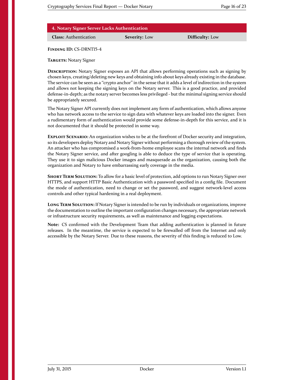| 4. Notary Signer Server Lacks Authentication |  |
|----------------------------------------------|--|
|----------------------------------------------|--|

**Class:** Authentication **Severity:** Low **Difficulty:** Low

<span id="page-15-0"></span>**FINDING ID:** CS-DRNT15-4

**TARGETS:** Notary Signer

**DESCRIPTION:** Notary Signer exposes an API that allows performing operations such as signing by chosen keys, creating/deleting new keys and obtaining info about keys already existing in the database. The service can be seen as a "crypto anchor" in the sense that it adds a level of indirection in the system and allows not keeping the signing keys on the Notary server. This is a good practice, and provided defense-in-depth; as the notary server becomes less privileged - but the minimal signing service should be appropriately secured.

The Notary Signer API currently does not implement any form of authentication, which allows anyone who has network access to the service to sign data with whatever keys are loaded into the signer. Even a rudimentary form of authentication would provide some defense-in-depth for this service, and it is not documented that it should be protected in some way.

**EXPLOIT SCENARIO:** An organization wishes to be at the forefront of Docker security and integration, so its developers deploy Notary and Notary Signer without performing a thorough review of the system. An attacker who has compromised a work-from-home employee scans the internal network and finds the Notary Signer service, and after googling is able to deduce the type of service that is operating. They use it to sign malicious Docker images and masquerade as the organization, causing both the organization and Notary to have embarrassing early coverage in the media.

**SHORT TERM SOLUTION:** To allow for a basic level of protection, add options to run Notary Signer over HTTPS, and support HTTP Basic Authentication with a password specified in a config file. Document the mode of authentication, need to change or set the password, and suggest network-level access controls and other typical hardening in a real deployment.

**LONG TERM SOLUTION:** If Notary Signer is intended to be run by individuals or organizations, improve the documentation to outline the important configuration changes necessary, the appropriate network or infrastructure security requirements, as well as maintenance and logging expectations.

**Note:** CS confirmed with the Development Team that adding authentication is planned in future releases. In the meantime, the service is expected to be firewalled off from the Internet and only accessible by the Notary Server. Due to these reasons, the severity of this finding is reduced to Low.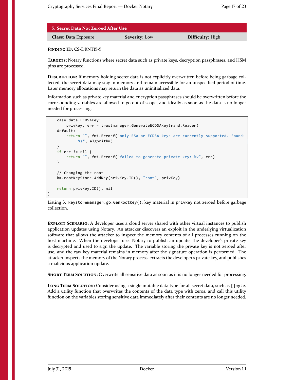| 5. Secret Data Not Zeroed After Use \ |
|---------------------------------------|
|---------------------------------------|

**Class:** Data Exposure **Severity:** Low **Difficulty:** High

<span id="page-16-0"></span>**FINDING ID:** CS-DRNT15-5

**TARGETS:** Notary functions where secret data such as private keys, decryption passphrases, and HSM pins are processed.

**DESCRIPTION:** If memory holding secret data is not explicitly overwritten before being garbage collected, the secret data may stay in memory and remain accessible for an unspecified period of time. Later memory allocations may return the data as uninitialized data.

Information such as private key material and encryption passphrases should be overwritten before the corresponding variables are allowed to go out of scope, and ideally as soon as the data is no longer needed for processing.

```
case data.ECDSAKey:
   privKey, err = trustmanager.GenerateECDSAKey(rand.Reader)
default:
    return "", fmt.Errorf("only RSA or ECDSA keys are currently supported. Found:
         %s", algorithm)
}
if err != nil {
   return "", fmt.Errorf("failed to generate private key: %v", err)
}
// Changing the root
km.rootKeyStore.AddKey(privKey.ID(), "root", privKey)
return privKey.ID(), nil
```
Listing 3: keystoremanager.go:GenRootKey(), key material in privkey not zeroed before garbage collection.

**EXPLOIT SCENARIO:** A developer uses a cloud server shared with other virtual instances to publish application updates using Notary. An attacker discovers an exploit in the underlying virtualization software that allows the attacker to inspect the memory contents of all processes running on the host machine. When the developer uses Notary to publish an update, the developer's private key is decrypted and used to sign the update. The variable storing the private key is not zeroed after use, and the raw key material remains in memory after the signature operation is performed. The attacker inspects the memory of the Notary process, extracts the developer's private key, and publishes a malicious application update.

**SHORT TERM SOLUTION:** Overwrite all sensitive data as soon as it is no longer needed for processing.

**LONG TERM SOLUTION:** Consider using a single mutable data type for all secret data, such as []byte. Add a utility function that overwrites the contents of the data type with zeros, and call this utility function on the variables storing sensitive data immediately after their contents are no longer needed.

}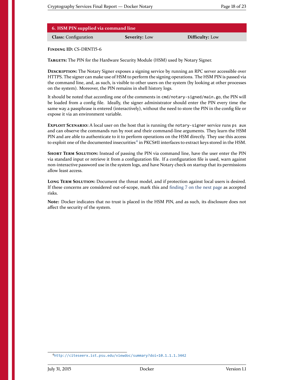| 6. HSM PIN supplied via command line |                      |                        |  |  |
|--------------------------------------|----------------------|------------------------|--|--|
| <b>Class:</b> Configuration          | <b>Severity:</b> Low | <b>Difficulty:</b> Low |  |  |

<span id="page-17-0"></span>**FINDING ID:** CS-DRNT15-6

**TARGETS:** The PIN for the Hardware Security Module (HSM) used by Notary Signer.

**DESCRIPTION:** The Notary Signer exposes a signing service by running an RPC server accessible over HTTPS. The signer can make use of HSM to perform the signing operations. The HSM PIN is passed via the command line, and, as such, is visible to other users on the system (by looking at other processes on the system). Moreover, the PIN remains in shell history logs.

It should be noted that according one of the comments in cmd/notary-signed/main.go, the PIN will be loaded from a config file. Ideally, the signer administrator should enter the PIN every time the same way a passphrase is entered (interactively), without the need to store the PIN in the config file or expose it via an environment variable.

**EXPLOIT SCENARIO:** A local user on the host that is running the notary-signer service runs ps aux and can observe the commands run by root and their command-line arguments. They learn the HSM PIN and are able to authenticate to it to perform operations on the HSM directly. They use this access to exploit one of the documented insecurities ${}^4$  ${}^4$  in PKCS#11 interfaces to extract keys stored in the HSM.

**SHORT TERM SOLUTION:** Instead of passing the PIN via command line, have the user enter the PIN via standard input or retrieve it from a configuration file. If a configuration file is used, warn against non-interactive password use in the system logs, and have Notary check on startup that its permissions allow least access.

**LONG TERM SOLUTION:** Document the threat model, and if protection against local users is desired. If these concerns are considered out-of-scope, mark this and [finding 7 on the next page](#page-18-0) as accepted risks.

**Note:** Docker indicates that no trust is placed in the HSM PIN, and as such, its disclosure does not affect the security of the system.

<span id="page-17-1"></span><sup>4</sup><http://citeseerx.ist.psu.edu/viewdoc/summary?doi=10.1.1.1.3442>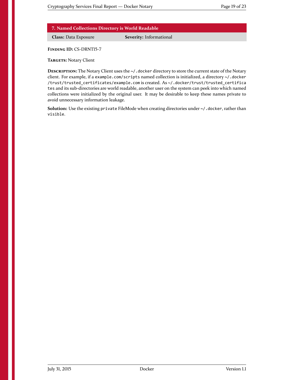#### **7. Named Collections Directory is World Readable**

**Class:** Data Exposure **Severity:** Informational

<span id="page-18-0"></span>**FINDING ID:** CS-DRNT15-7

**TARGETS:** Notary Client

**DESCRIPTION:** The Notary Client uses the ~/.docker directory to store the current state of the Notary client. For example, if a example.com/scripts named collection is initialized, a directory ~/.docker /trust/trusted\_certificates/example.com is created. As ~/.docker/trust/trusted\_certifica tes and its sub-directories are world readable, another user on the system can peek into which named collections were initialized by the original user. It may be desirable to keep these names private to avoid unnecessary information leakage.

Solution: Use the existing private FileMode when creating directories under ~/.docker, rather than visible.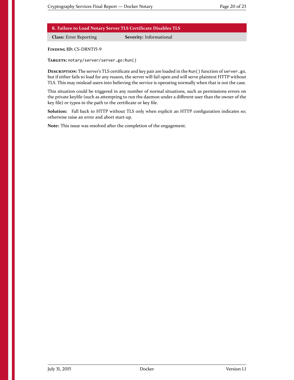**8. Failure to Load Notary Server TLS Certificate Disables TLS**

**Class:** Error Reporting **Severity:** Informational

<span id="page-19-1"></span>**FINDING ID:** CS-DRNT15-9

**TARGETS:** notary/server/server.go:Run()

**DESCRIPTION:** The server's TLS certificate and key pair are loaded in the Run() function of server.go, but if either fails to load for any reason, the server will fail open and will serve plaintext HTTP without TLS. This may mislead users into believing the service is operating normally when that is not the case.

This situation could be triggered in any number of normal situations, such as permissions errors on the private keyfile (such as attempting to run the daemon under a different user than the owner of the key file) or typos in the path to the certificate or key file.

**Solution:** Fall back to HTTP without TLS only when explicit an HTTP configuration indicates so; otherwise raise an error and abort start-up.

<span id="page-19-0"></span>**Note:** This issue was resolved after the completion of the engagement.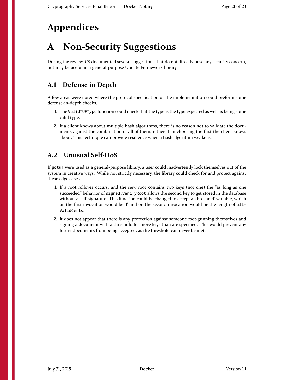## **Appendices**

# <span id="page-20-0"></span>**A Non-Security Suggestions**

During the review, CS documented several suggestions that do not directly pose any security concern, but may be useful in a general-purpose Update Framework library.

#### <span id="page-20-1"></span>**A.1 Defense in Depth**

A few areas were noted where the protocol specification or the implementation could preform some defense-in-depth checks.

- 1. The ValidTUFType function could check that the type is the type expected as well as being some valid type.
- 2. If a client knows about multiple hash algorithms, there is no reason not to validate the documents against the combination of all of them, rather than choosing the first the client knows about. This technique can provide resilience when a hash algorithm weakens.

#### <span id="page-20-2"></span>**A.2 Unusual Self-DoS**

If gotuf were used as a general-purpose library, a user could inadvertently lock themselves out of the system in creative ways. While not strictly necessary, the library could check for and protect against these edge cases.

- 1. If a root rollover occurs, and the new root contains two keys (not one) the "as long as one succeeded" behavior of signed. VerifyRoot allows the second key to get stored in the database without a self-signature. This function could be changed to accept a 'threshold' variable, which on the first invocation would be '1' and on the second invocation would be the length of all-ValidCerts.
- 2. It does not appear that there is any protection against someone foot-gunning themselves and signing a document with a threshold for more keys than are specified. This would prevent any future documents from being accepted, as the threshold can never be met.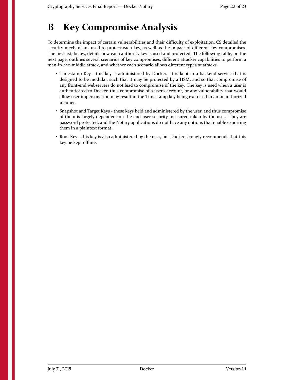## <span id="page-21-0"></span>**B Key Compromise Analysis**

To determine the impact of certain vulnerabilities and their difficulty of exploitation, CS detailed the security mechanisms used to protect each key, as well as the impact of different key compromises. The first list, below, details how each authority key is used and protected. The following table, on the next page, outlines several scenarios of key compromises, different attacker capabilities to perform a man-in-the-middle attack, and whether each scenario allows different types of attacks.

- Timestamp Key this key is administered by Docker. It is kept in a backend service that is designed to be modular, such that it may be protected by a HSM, and so that compromise of any front-end webservers do not lead to compromise of the key. The key is used when a user is authenticated to Docker, thus compromise of a user's account, or any vulnerability that would allow user impersonation may result in the Timestamp key being exercised in an unauthorized manner.
- Snapshot and Target Keys these keys held and administered by the user, and thus compromise of them is largely dependent on the end-user security measured taken by the user. They are password protected, and the Notary applications do not have any options that enable exporting them in a plaintext format.
- Root Key this key is also administered by the user, but Docker strongly recommends that this key be kept offline.